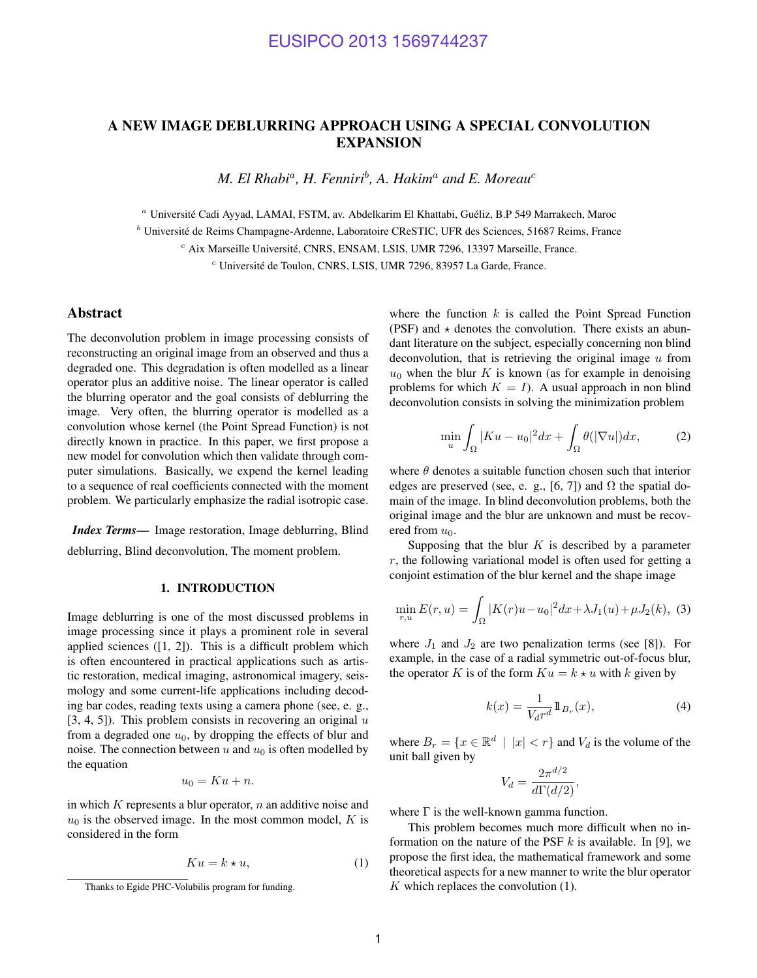### A NEW IMAGE DEBLURRING APPROACH USING A SPECIAL CONVOLUTION EXPANSION

*M. El Rhabi*<sup>a</sup> *, H. Fenniri*<sup>b</sup> *, A. Hakim*<sup>a</sup> *and E. Moreau*<sup>c</sup>

<sup>a</sup> Université Cadi Ayyad, LAMAI, FSTM, av. Abdelkarim El Khattabi, Guéliz, B.P 549 Marrakech, Maroc

 $<sup>b</sup>$  Université de Reims Champagne-Ardenne, Laboratoire CReSTIC, UFR des Sciences, 51687 Reims, France</sup>

 $c$  Aix Marseille Université, CNRS, ENSAM, LSIS, UMR 7296, 13397 Marseille, France.

 $c$  Université de Toulon, CNRS, LSIS, UMR 7296, 83957 La Garde, France.

#### Abstract

The deconvolution problem in image processing consists of reconstructing an original image from an observed and thus a degraded one. This degradation is often modelled as a linear operator plus an additive noise. The linear operator is called the blurring operator and the goal consists of deblurring the image. Very often, the blurring operator is modelled as a convolution whose kernel (the Point Spread Function) is not directly known in practice. In this paper, we first propose a new model for convolution which then validate through computer simulations. Basically, we expend the kernel leading to a sequence of real coefficients connected with the moment problem. We particularly emphasize the radial isotropic case.

*Index Terms*— Image restoration, Image deblurring, Blind deblurring, Blind deconvolution, The moment problem.

#### 1. INTRODUCTION

Image deblurring is one of the most discussed problems in image processing since it plays a prominent role in several applied sciences  $([1, 2])$ . This is a difficult problem which is often encountered in practical applications such as artistic restoration, medical imaging, astronomical imagery, seismology and some current-life applications including decoding bar codes, reading texts using a camera phone (see, e. g.,  $[3, 4, 5]$ ). This problem consists in recovering an original  $u$ from a degraded one  $u_0$ , by dropping the effects of blur and noise. The connection between  $u$  and  $u_0$  is often modelled by the equation

$$
u_0 = Ku + n.
$$

in which  $K$  represents a blur operator,  $n$  an additive noise and  $u_0$  is the observed image. In the most common model, K is considered in the form

$$
Ku = k \star u,\tag{1}
$$

where the function  $k$  is called the Point Spread Function (PSF) and  $\star$  denotes the convolution. There exists an abundant literature on the subject, especially concerning non blind deconvolution, that is retrieving the original image  $u$  from  $u_0$  when the blur K is known (as for example in denoising problems for which  $K = I$ ). A usual approach in non blind deconvolution consists in solving the minimization problem

$$
\min_{u} \int_{\Omega} |Ku - u_0|^2 dx + \int_{\Omega} \theta(|\nabla u|) dx, \tag{2}
$$

where  $\theta$  denotes a suitable function chosen such that interior edges are preserved (see, e. g., [6, 7]) and  $\Omega$  the spatial domain of the image. In blind deconvolution problems, both the original image and the blur are unknown and must be recovered from  $u_0$ .

Supposing that the blur  $K$  is described by a parameter  $r$ , the following variational model is often used for getting a conjoint estimation of the blur kernel and the shape image

$$
\min_{r,u} E(r,u) = \int_{\Omega} |K(r)u - u_0|^2 dx + \lambda J_1(u) + \mu J_2(k), \tag{3}
$$

where  $J_1$  and  $J_2$  are two penalization terms (see [8]). For example, in the case of a radial symmetric out-of-focus blur, the operator K is of the form  $Ku = k \star u$  with k given by

$$
k(x) = \frac{1}{V_d r^d} \mathbb{1}_{B_r}(x),\tag{4}
$$

where  $B_r = \{x \in \mathbb{R}^d \mid |x| < r\}$  and  $V_d$  is the volume of the unit ball given by

$$
V_d = \frac{2\pi^{d/2}}{d\Gamma(d/2)},
$$

where  $\Gamma$  is the well-known gamma function.

This problem becomes much more difficult when no information on the nature of the PSF  $k$  is available. In [9], we propose the first idea, the mathematical framework and some theoretical aspects for a new manner to write the blur operator  $K$  which replaces the convolution  $(1)$ .

Thanks to Egide PHC-Volubilis program for funding.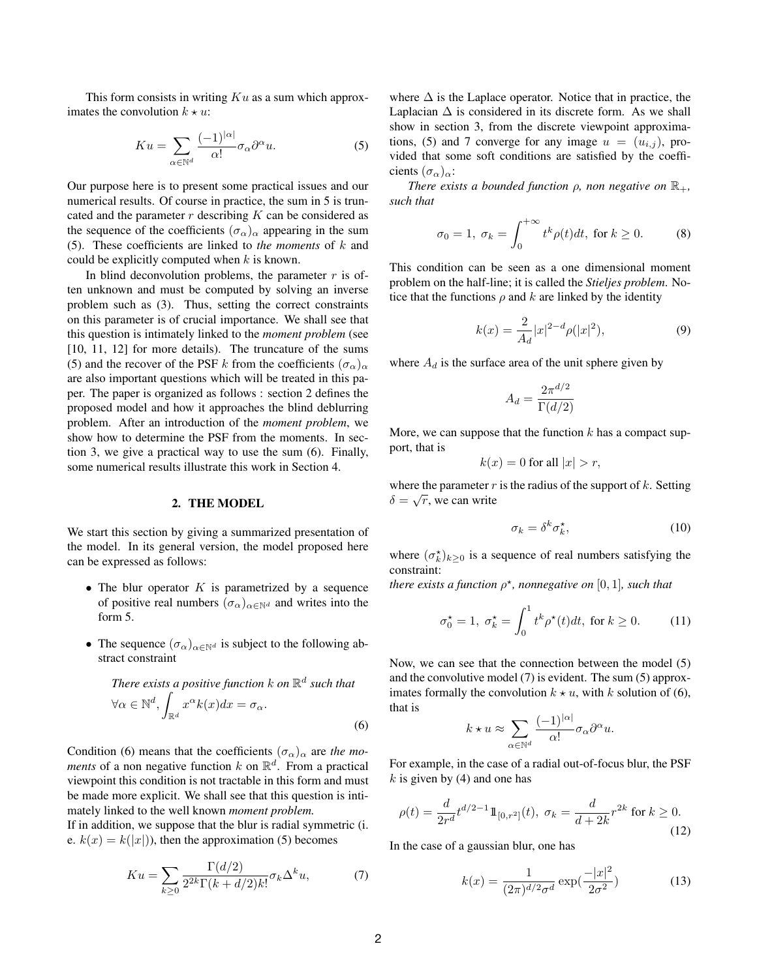This form consists in writing  $Ku$  as a sum which approximates the convolution  $k \star u$ :

$$
Ku = \sum_{\alpha \in \mathbb{N}^d} \frac{(-1)^{|\alpha|}}{\alpha!} \sigma_\alpha \partial^\alpha u.
$$
 (5)

Our purpose here is to present some practical issues and our numerical results. Of course in practice, the sum in 5 is truncated and the parameter  $r$  describing  $K$  can be considered as the sequence of the coefficients  $(\sigma_{\alpha})_{\alpha}$  appearing in the sum (5). These coefficients are linked to *the moments* of k and could be explicitly computed when  $k$  is known.

In blind deconvolution problems, the parameter  $r$  is often unknown and must be computed by solving an inverse problem such as (3). Thus, setting the correct constraints on this parameter is of crucial importance. We shall see that this question is intimately linked to the *moment problem* (see [10, 11, 12] for more details). The truncature of the sums (5) and the recover of the PSF k from the coefficients  $(\sigma_{\alpha})_{\alpha}$ are also important questions which will be treated in this paper. The paper is organized as follows : section 2 defines the proposed model and how it approaches the blind deblurring problem. After an introduction of the *moment problem*, we show how to determine the PSF from the moments. In section 3, we give a practical way to use the sum (6). Finally, some numerical results illustrate this work in Section 4.

#### 2. THE MODEL

We start this section by giving a summarized presentation of the model. In its general version, the model proposed here can be expressed as follows:

- The blur operator  $K$  is parametrized by a sequence of positive real numbers  $(\sigma_{\alpha})_{\alpha \in \mathbb{N}^d}$  and writes into the form 5.
- The sequence  $(\sigma_{\alpha})_{\alpha \in \mathbb{N}^d}$  is subject to the following abstract constraint

There exists a positive function 
$$
k
$$
 on  $\mathbb{R}^d$  such that  
\n
$$
\forall \alpha \in \mathbb{N}^d, \int_{\mathbb{R}^d} x^{\alpha} k(x) dx = \sigma_{\alpha}.
$$
\n(6)

Condition (6) means that the coefficients  $(\sigma_{\alpha})_{\alpha}$  are *the moments* of a non negative function  $k$  on  $\mathbb{R}^d$ . From a practical viewpoint this condition is not tractable in this form and must be made more explicit. We shall see that this question is intimately linked to the well known *moment problem.*

If in addition, we suppose that the blur is radial symmetric (i. e.  $k(x) = k(|x|)$ , then the approximation (5) becomes

$$
Ku = \sum_{k\geq 0} \frac{\Gamma(d/2)}{2^{2k}\Gamma(k+d/2)k!} \sigma_k \Delta^k u,\tag{7}
$$

where  $\Delta$  is the Laplace operator. Notice that in practice, the Laplacian  $\Delta$  is considered in its discrete form. As we shall show in section 3, from the discrete viewpoint approximations, (5) and 7 converge for any image  $u = (u_{i,j})$ , provided that some soft conditions are satisfied by the coefficients  $(\sigma_{\alpha})_{\alpha}$ :

*There exists a bounded function*  $\rho$ *, non negative on*  $\mathbb{R}_+$ *, such that*

$$
\sigma_0 = 1, \ \sigma_k = \int_0^{+\infty} t^k \rho(t) dt, \text{ for } k \ge 0.
$$
 (8)

This condition can be seen as a one dimensional moment problem on the half-line; it is called the *Stieljes problem*. Notice that the functions  $\rho$  and  $k$  are linked by the identity

$$
k(x) = \frac{2}{A_d}|x|^{2-d}\rho(|x|^2),
$$
\n(9)

where  $A_d$  is the surface area of the unit sphere given by

$$
A_d = \frac{2\pi^{d/2}}{\Gamma(d/2)}
$$

More, we can suppose that the function  $k$  has a compact support, that is

$$
k(x) = 0 \text{ for all } |x| > r,
$$

where the parameter r is the radius of the support of k. Setting  $\delta = \sqrt{r}$ , we can write

$$
\sigma_k = \delta^k \sigma_k^{\star},\tag{10}
$$

where  $(\sigma_k^{\star})_{k\geq 0}$  is a sequence of real numbers satisfying the constraint:

*there exists a function*  $\rho^*$ *, nonnegative on*  $[0,1]$ *, such that* 

$$
\sigma_0^* = 1, \ \sigma_k^* = \int_0^1 t^k \rho^*(t) dt, \text{ for } k \ge 0. \tag{11}
$$

Now, we can see that the connection between the model (5) and the convolutive model (7) is evident. The sum (5) approximates formally the convolution  $k \star u$ , with k solution of (6), that is

$$
\star u \approx \sum_{\alpha \in \mathbb{N}^d} \frac{(-1)^{|\alpha|}}{\alpha!} \sigma_\alpha \partial^\alpha u.
$$

For example, in the case of a radial out-of-focus blur, the PSF  $k$  is given by (4) and one has

$$
\rho(t) = \frac{d}{2r^d} t^{d/2 - 1} \mathbb{1}_{[0, r^2]}(t), \ \sigma_k = \frac{d}{d + 2k} r^{2k} \text{ for } k \ge 0.
$$
\n(12)

In the case of a gaussian blur, one has

 $k<sub>1</sub>$ 

$$
k(x) = \frac{1}{(2\pi)^{d/2}\sigma^d} \exp(\frac{-|x|^2}{2\sigma^2})
$$
 (13)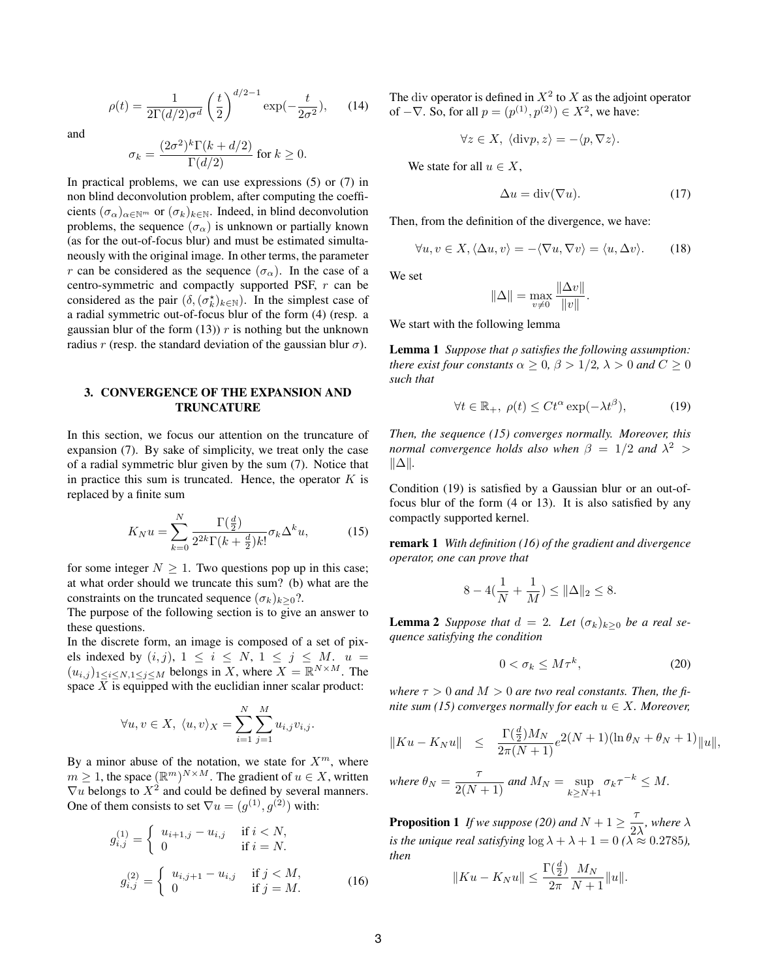$$
\rho(t) = \frac{1}{2\Gamma(d/2)\sigma^d} \left(\frac{t}{2}\right)^{d/2 - 1} \exp(-\frac{t}{2\sigma^2}), \quad (14)
$$

and

$$
\sigma_k = \frac{(2\sigma^2)^k \Gamma(k + d/2)}{\Gamma(d/2)} \text{ for } k \ge 0.
$$

In practical problems, we can use expressions (5) or (7) in non blind deconvolution problem, after computing the coefficients  $(\sigma_{\alpha})_{\alpha \in \mathbb{N}^m}$  or  $(\sigma_k)_{k \in \mathbb{N}}$ . Indeed, in blind deconvolution problems, the sequence  $(\sigma_{\alpha})$  is unknown or partially known (as for the out-of-focus blur) and must be estimated simultaneously with the original image. In other terms, the parameter r can be considered as the sequence  $(\sigma_{\alpha})$ . In the case of a centro-symmetric and compactly supported PSF, r can be considered as the pair  $(\delta, (\sigma_k^{\star})_{k \in \mathbb{N}})$ . In the simplest case of a radial symmetric out-of-focus blur of the form (4) (resp. a gaussian blur of the form  $(13)$ ) r is nothing but the unknown radius r (resp. the standard deviation of the gaussian blur  $\sigma$ ).

#### 3. CONVERGENCE OF THE EXPANSION AND TRUNCATURE

In this section, we focus our attention on the truncature of expansion (7). By sake of simplicity, we treat only the case of a radial symmetric blur given by the sum (7). Notice that in practice this sum is truncated. Hence, the operator  $K$  is replaced by a finite sum

$$
K_N u = \sum_{k=0}^N \frac{\Gamma(\frac{d}{2})}{2^{2k} \Gamma(k + \frac{d}{2}) k!} \sigma_k \Delta^k u,\tag{15}
$$

for some integer  $N \geq 1$ . Two questions pop up in this case; at what order should we truncate this sum? (b) what are the constraints on the truncated sequence  $(\sigma_k)_{k>0}$ ?.

The purpose of the following section is to give an answer to these questions.

In the discrete form, an image is composed of a set of pixels indexed by  $(i, j)$ ,  $1 \le i \le N$ ,  $1 \le j \le M$ .  $u =$  $(u_{i,j})_{1 \leq i \leq N, 1 \leq j \leq M}$  belongs in X, where  $X = \mathbb{R}^{N \times M}$ . The space  $X$  is equipped with the euclidian inner scalar product:

$$
\forall u, v \in X, \ \langle u, v \rangle_X = \sum_{i=1}^N \sum_{j=1}^M u_{i,j} v_{i,j}.
$$

By a minor abuse of the notation, we state for  $X^m$ , where  $m \geq 1$ , the space  $(\mathbb{R}^m)^{N \times M}$ . The gradient of  $u \in X$ , written  $\nabla u$  belongs to  $X^2$  and could be defined by several manners. One of them consists to set  $\nabla u = (g^{(1)}, g^{(2)})$  with:

$$
g_{i,j}^{(1)} = \begin{cases} u_{i+1,j} - u_{i,j} & \text{if } i < N, \\ 0 & \text{if } i = N. \end{cases}
$$
  

$$
g_{i,j}^{(2)} = \begin{cases} u_{i,j+1} - u_{i,j} & \text{if } j < M, \\ 0 & \text{if } j = M. \end{cases}
$$
 (16)

The div operator is defined in  $X^2$  to X as the adjoint operator of  $-\nabla$ . So, for all  $p = (p^{(1)}, p^{(2)}) \in X^2$ , we have:

$$
\forall z \in X, \langle \text{div} p, z \rangle = -\langle p, \nabla z \rangle.
$$

We state for all  $u \in X$ ,

$$
\Delta u = \text{div}(\nabla u). \tag{17}
$$

Then, from the definition of the divergence, we have:

$$
\forall u, v \in X, \langle \Delta u, v \rangle = -\langle \nabla u, \nabla v \rangle = \langle u, \Delta v \rangle. \tag{18}
$$

We set

$$
\|\Delta\| = \max_{v \neq 0} \frac{\|\Delta v\|}{\|v\|}.
$$

We start with the following lemma

Lemma 1 *Suppose that* ρ *satisfies the following assumption: there exist four constants*  $\alpha \geq 0$ ,  $\beta > 1/2$ ,  $\lambda > 0$  *and*  $C \geq 0$ *such that*

$$
\forall t \in \mathbb{R}_+, \ \rho(t) \le C t^{\alpha} \exp(-\lambda t^{\beta}), \tag{19}
$$

*Then, the sequence (15) converges normally. Moreover, this normal convergence holds also when*  $\beta = 1/2$  *and*  $\lambda^2 >$ k∆k*.*

Condition (19) is satisfied by a Gaussian blur or an out-offocus blur of the form (4 or 13). It is also satisfied by any compactly supported kernel.

remark 1 *With definition (16) of the gradient and divergence operator, one can prove that*

$$
8 - 4(\frac{1}{N} + \frac{1}{M}) \le ||\Delta||_2 \le 8.
$$

**Lemma 2** *Suppose that*  $d = 2$ *. Let*  $(\sigma_k)_{k>0}$  *be a real sequence satisfying the condition*

$$
0 < \sigma_k \le M \tau^k,\tag{20}
$$

where  $\tau > 0$  and  $M > 0$  are two real constants. Then, the fi*nite sum (15) converges normally for each*  $u \in X$ *. Moreover,* 

$$
||Ku - K_Nu|| \le \frac{\Gamma(\frac{d}{2})M_N}{2\pi(N+1)}e^{2(N+1)(\ln \theta_N + \theta_N + 1)}||u||,
$$

where 
$$
\theta_N = \frac{\tau}{2(N+1)}
$$
 and  $M_N = \sup_{k \ge N+1} \sigma_k \tau^{-k} \le M$ .

**Proposition 1** If we suppose (20) and  $N + 1 \geq \frac{7}{2}$  $\frac{1}{2\lambda}$ , where  $\lambda$ *is the unique real satisfying*  $\log \lambda + \lambda + 1 = 0$  ( $\lambda \approx 0.2785$ ), *then*  $\mathcal{L}$ 

$$
||Ku - K_Nu|| \le \frac{\Gamma(\frac{d}{2})}{2\pi} \frac{M_N}{N+1} ||u||.
$$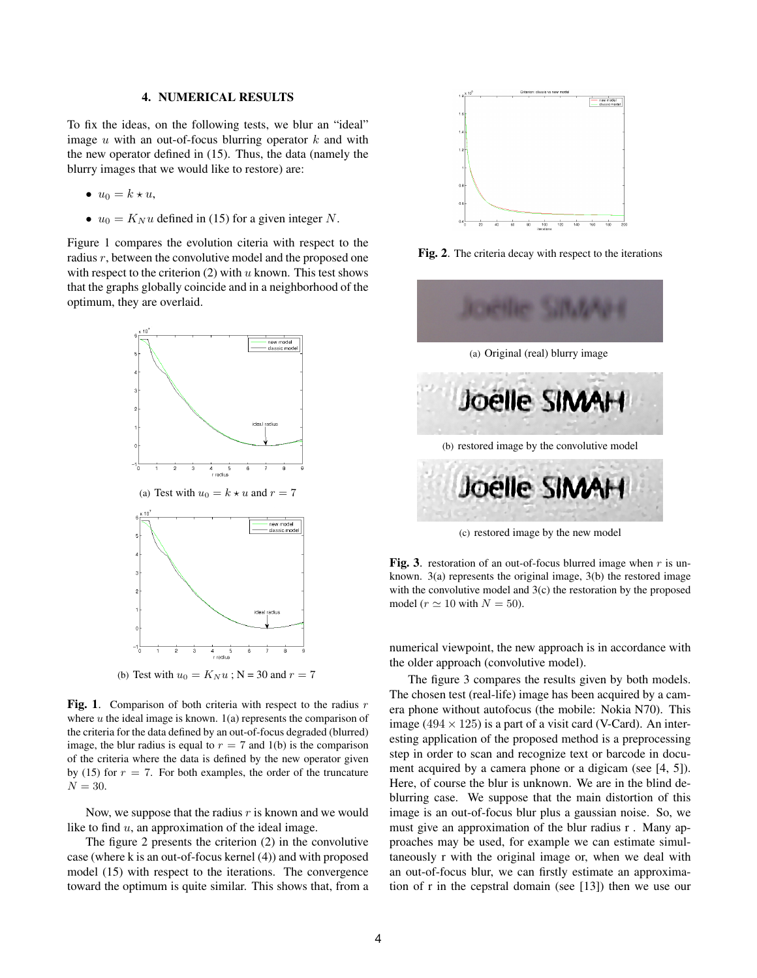#### 4. NUMERICAL RESULTS

To fix the ideas, on the following tests, we blur an "ideal" image  $u$  with an out-of-focus blurring operator  $k$  and with the new operator defined in (15). Thus, the data (namely the blurry images that we would like to restore) are:

- $u_0 = k * u$ ,
- $u_0 = K_N u$  defined in (15) for a given integer N.

Figure 1 compares the evolution citeria with respect to the radius r, between the convolutive model and the proposed one with respect to the criterion  $(2)$  with u known. This test shows that the graphs globally coincide and in a neighborhood of the optimum, they are overlaid.



(b) Test with  $u_0 = K_N u$ ; N = 30 and  $r = 7$ 

Fig. 1. Comparison of both criteria with respect to the radius  $r$ where  $u$  the ideal image is known.  $1(a)$  represents the comparison of the criteria for the data defined by an out-of-focus degraded (blurred) image, the blur radius is equal to  $r = 7$  and 1(b) is the comparison of the criteria where the data is defined by the new operator given by (15) for  $r = 7$ . For both examples, the order of the truncature  $N = 30$ .

Now, we suppose that the radius  $r$  is known and we would like to find  $u$ , an approximation of the ideal image.

The figure 2 presents the criterion (2) in the convolutive case (where k is an out-of-focus kernel (4)) and with proposed model (15) with respect to the iterations. The convergence toward the optimum is quite similar. This shows that, from a



Fig. 2. The criteria decay with respect to the iterations



(c) restored image by the new model

Fig. 3. restoration of an out-of-focus blurred image when  $r$  is unknown. 3(a) represents the original image, 3(b) the restored image with the convolutive model and 3(c) the restoration by the proposed model ( $r \approx 10$  with  $N = 50$ ).

numerical viewpoint, the new approach is in accordance with the older approach (convolutive model).

The figure 3 compares the results given by both models. The chosen test (real-life) image has been acquired by a camera phone without autofocus (the mobile: Nokia N70). This image (494  $\times$  125) is a part of a visit card (V-Card). An interesting application of the proposed method is a preprocessing step in order to scan and recognize text or barcode in document acquired by a camera phone or a digicam (see [4, 5]). Here, of course the blur is unknown. We are in the blind deblurring case. We suppose that the main distortion of this image is an out-of-focus blur plus a gaussian noise. So, we must give an approximation of the blur radius r . Many approaches may be used, for example we can estimate simultaneously r with the original image or, when we deal with an out-of-focus blur, we can firstly estimate an approximation of r in the cepstral domain (see [13]) then we use our